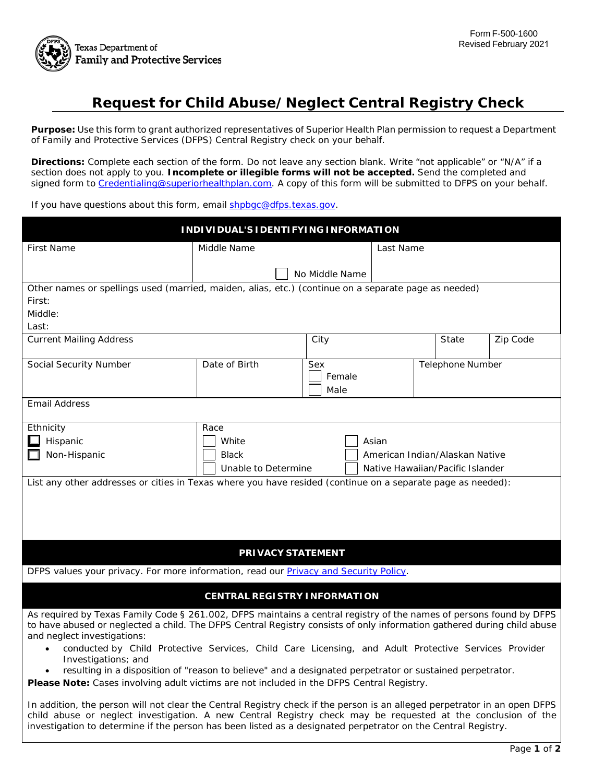

## **Request for Child Abuse/Neglect Central Registry Check**

 **Purpose:** Use this form to grant authorized representatives of Superior Health Plan permission to request a Department of Family and Protective Services (DFPS) Central Registry check on your behalf.

 **Directions:** Complete each section of the form. Do not leave any section blank. Write "not applicable" or "N/A" if a section does not apply to you. **Incomplete or illegible forms will not be accepted.** Send the completed and signed form to [Credentialing@superiorhealthplan.com.](mailto:Credentialing@superiorhealthplan.com) A copy of this form will be submitted to DFPS on your behalf.

If you have questions about this form, email **shpbgc@dfps.texas.gov.** 

| INDIVIDUAL'S IDENTIFYING INFORMATION                                                                                                                                                                                                                                                                                                                                                                                                                                                                                     |                                                                  |                       |                         |       |          |  |
|--------------------------------------------------------------------------------------------------------------------------------------------------------------------------------------------------------------------------------------------------------------------------------------------------------------------------------------------------------------------------------------------------------------------------------------------------------------------------------------------------------------------------|------------------------------------------------------------------|-----------------------|-------------------------|-------|----------|--|
| <b>First Name</b>                                                                                                                                                                                                                                                                                                                                                                                                                                                                                                        | Middle Name                                                      |                       | Last Name               |       |          |  |
|                                                                                                                                                                                                                                                                                                                                                                                                                                                                                                                          |                                                                  | No Middle Name        |                         |       |          |  |
| Other names or spellings used (married, maiden, alias, etc.) (continue on a separate page as needed)                                                                                                                                                                                                                                                                                                                                                                                                                     |                                                                  |                       |                         |       |          |  |
| First:                                                                                                                                                                                                                                                                                                                                                                                                                                                                                                                   |                                                                  |                       |                         |       |          |  |
| Middle:<br>Last:                                                                                                                                                                                                                                                                                                                                                                                                                                                                                                         |                                                                  |                       |                         |       |          |  |
| <b>Current Mailing Address</b>                                                                                                                                                                                                                                                                                                                                                                                                                                                                                           |                                                                  | City                  |                         | State | Zip Code |  |
|                                                                                                                                                                                                                                                                                                                                                                                                                                                                                                                          |                                                                  |                       |                         |       |          |  |
| Social Security Number                                                                                                                                                                                                                                                                                                                                                                                                                                                                                                   | Date of Birth                                                    | Sex<br>Female<br>Male | <b>Telephone Number</b> |       |          |  |
| <b>Email Address</b>                                                                                                                                                                                                                                                                                                                                                                                                                                                                                                     |                                                                  |                       |                         |       |          |  |
|                                                                                                                                                                                                                                                                                                                                                                                                                                                                                                                          |                                                                  |                       |                         |       |          |  |
| Ethnicity<br>Hispanic                                                                                                                                                                                                                                                                                                                                                                                                                                                                                                    | Race                                                             |                       |                         |       |          |  |
| Non-Hispanic                                                                                                                                                                                                                                                                                                                                                                                                                                                                                                             | White<br>Asian<br>American Indian/Alaskan Native<br><b>Black</b> |                       |                         |       |          |  |
|                                                                                                                                                                                                                                                                                                                                                                                                                                                                                                                          | Unable to Determine<br>Native Hawaiian/Pacific Islander          |                       |                         |       |          |  |
| List any other addresses or cities in Texas where you have resided (continue on a separate page as needed):                                                                                                                                                                                                                                                                                                                                                                                                              |                                                                  |                       |                         |       |          |  |
| <b>PRIVACY STATEMENT</b>                                                                                                                                                                                                                                                                                                                                                                                                                                                                                                 |                                                                  |                       |                         |       |          |  |
| DFPS values your privacy. For more information, read our <b>Privacy and Security Policy</b> .                                                                                                                                                                                                                                                                                                                                                                                                                            |                                                                  |                       |                         |       |          |  |
| <b>CENTRAL REGISTRY INFORMATION</b>                                                                                                                                                                                                                                                                                                                                                                                                                                                                                      |                                                                  |                       |                         |       |          |  |
| As required by Texas Family Code § 261.002, DFPS maintains a central registry of the names of persons found by DFPS<br>to have abused or neglected a child. The DFPS Central Registry consists of only information gathered during child abuse<br>and neglect investigations:<br>conducted by Child Protective Services, Child Care Licensing, and Adult Protective Services Provider<br>Investigations; and<br>resulting in a disposition of "reason to believe" and a designated perpetrator or sustained perpetrator. |                                                                  |                       |                         |       |          |  |
| Please Note: Cases involving adult victims are not included in the DFPS Central Registry.                                                                                                                                                                                                                                                                                                                                                                                                                                |                                                                  |                       |                         |       |          |  |
| In addition, the person will not clear the Central Registry check if the person is an alleged perpetrator in an open DFPS<br>child abuse or neglect investigation. A new Central Registry check may be requested at the conclusion of the<br>investigation to determine if the person has been listed as a designated perpetrator on the Central Registry.                                                                                                                                                               |                                                                  |                       |                         |       |          |  |